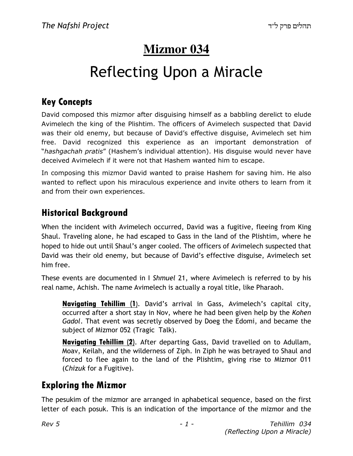## **Mizmor 034**

# Reflecting Upon a Miracle

### Key Concepts

David composed this mizmor after disguising himself as a babbling derelict to elude Avimelech the king of the Plishtim. The officers of Avimelech suspected that David was their old enemy, but because of David's effective disguise, Avimelech set him free. David recognized this experience as an important demonstration of "hashgachah pratis" (Hashem's individual attention). His disguise would never have deceived Avimelech if it were not that Hashem wanted him to escape.

In composing this mizmor David wanted to praise Hashem for saving him. He also wanted to reflect upon his miraculous experience and invite others to learn from it and from their own experiences.

### Historical Background

When the incident with Avimelech occurred, David was a fugitive, fleeing from King Shaul. Traveling alone, he had escaped to Gass in the land of the Plishtim, where he hoped to hide out until Shaul's anger cooled. The officers of Avimelech suspected that David was their old enemy, but because of David's effective disguise, Avimelech set him free.

These events are documented in I Shmuel 21, where Avimelech is referred to by his real name, Achish. The name Avimelech is actually a royal title, like Pharaoh.

Navigating Tehillim (1). David's arrival in Gass, Avimelech's capital city, occurred after a short stay in Nov, where he had been given help by the Kohen Gadol. That event was secretly observed by Doeg the Edomi, and became the subject of Mizmor 052 (Tragic Talk).

Navigating Tehillim (2). After departing Gass, David travelled on to Adullam, Moav, Keilah, and the wilderness of Ziph. In Ziph he was betrayed to Shaul and forced to flee again to the land of the Plishtim, giving rise to Mizmor 011 (Chizuk for a Fugitive).

### Exploring the Mizmor

The pesukim of the mizmor are arranged in aphabetical sequence, based on the first letter of each posuk. This is an indication of the importance of the mizmor and the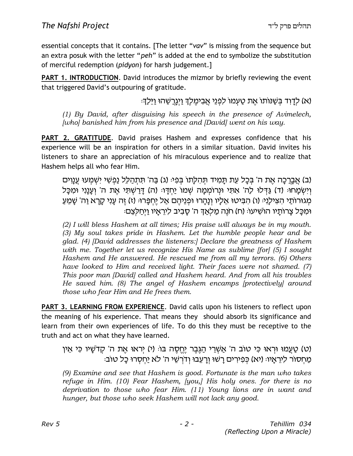essential concepts that it contains. [The letter "vav" is missing from the sequence but an extra posuk with the letter "peh" is added at the end to symbolize the substitution of merciful redemption (pidyon) for harsh judgement.]

**PART 1. INTRODUCTION.** David introduces the mizmor by briefly reviewing the event that triggered David's outpouring of gratitude.

וא) לְדַוְד בְּשֵׁנּוֹתוֹ אֵת טַעְמוֹ לִפְנֵי אֲבִימֶלֶךְ וַיְגַרֵשֶׁהוּ וַיֵּלַךְ:

(1) By David, after disguising his speech in the presence of Avimelech, [who] banished him from his presence and [David] went on his way.

**PART 2. GRATITUDE.** David praises Hashem and expresses confidence that his experience will be an inspiration for others in a similar situation. David invites his listeners to share an appreciation of his miraculous experience and to realize that Hashem helps all who fear Him.

(ב) אֲבֵרַכָּה אֶת ה' בִּכַל עֶת תַּמְיד תְּהִלַּתוֹ בִּפְיּ (ג) בַּה' תִּתְהַלֶּל נַפְשִׁי יִשְׁמְעוּ עֵנַוְים וְיִשְׂמַחוּ: (ד) גַּדְּלוּ לַה' אִתְּי וּנְרוֹמְמַה שָׁמוֹ יַחְדָּוּ: (ה) דַּרַשְׁתָּי אֶת ה' וְעֲנַנִי וּמִכַּל מְגוּרוֹתֵי הִצִּילֵנִיּ (ו) הִבִּיטוּ אֱלֵיו וְנַהֲרוּ וּפְנֵיהֶם אֲל יֵחֶפֵּרוּּ (ז) זֶה עֲנִי קַרַא וַה' שַׁמֵעַ וּמִכַּל צַרוֹתֵיו הוֹשִׁיעוֹּ (ח) חֹנֶה מַלְאֲדְּ ה' סַבִיב לִירָאֲיו וַיִּחַלְצֶם:

(2) I will bless Hashem at all times; His praise will always be in my mouth. (3) My soul takes pride in Hashem. Let the humble people hear and be glad. (4) [David addresses the listeners:] Declare the greatness of Hashem with me. Together let us recognize His Name as sublime [for] (5) I sought Hashem and He answered. He rescued me from all my terrors. (6) Others have looked to Him and received light. Their faces were not shamed. (7) This poor man [David] called and Hashem heard. And from all his troubles He saved him. (8) The angel of Hashem encamps [protectively] around those who fear Him and He frees them.

PART 3. LEARNING FROM EXPERIENCE. David calls upon his listeners to reflect upon the meaning of his experience. That means they should absorb its significance and learn from their own experiences of life. To do this they must be receptive to the truth and act on what they have learned.

(ט) טַעֲמוּ וּרְאוּ כִּי טוֹב ה' אֲשָׁרֵי הַגֶּבֶר יֵחֱסֶה בּוּ (י) יִרְאוּ אֶת ה' קָדֹשֵׁיו כִּי אֵין :מַחְסוֹר לִירְאֵיוּ: (יא) כְּפִירִים רַשׁוּ וְרַעֲבוּ וְדֹרְשֵׁי ה' לֹא יַחְסְרוּ כַל טוֹב

(9) Examine and see that Hashem is good. Fortunate is the man who takes refuge in Him. (10) Fear Hashem, [you,] His holy ones. for there is no deprivation to those who fear Him. (11) Young lions are in want and hunger, but those who seek Hashem will not lack any good.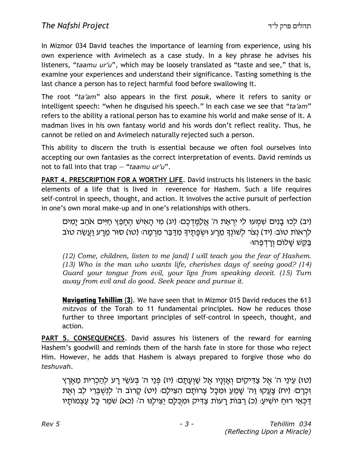In Mizmor 034 David teaches the importance of learning from experience, using his own experience with Avimelech as a case study. In a key phrase he advises his listeners, "taamu ur'u", which may be loosely translated as "taste and see," that is, examine your experiences and understand their significance. Tasting something is the last chance a person has to reject harmful food before swallowing it.

The root "ta'am" also appears in the first posuk, where it refers to sanity or intelligent speech: "when he disguised his speech." In each case we see that "ta'am" refers to the ability a rational person has to examine his world and make sense of it. A madman lives in his own fantasy world and his words don't reflect reality. Thus, he cannot be relied on and Avimelech naturally rejected such a person.

This ability to discern the truth is essential because we often fool ourselves into accepting our own fantasies as the correct interpretation of events. David reminds us not to fall into that trap  $-$  "taamu ur'u".

PART 4. PRESCRIPTION FOR A WORTHY LIFE. David instructs his listeners in the basic elements of a life that is lived in reverence for Hashem. Such a life requires self-control in speech, thought, and action. It involves the active pursuit of perfection in one's own moral make-up and in one's relationships with others.

(יב) לכו בַנִים שָׁמְעוּ לִי יִרְאַת ה' אֱלַמֱדְּכֶם: (יג) מִי הַאִישׁ הֵחַפֵּץ חַיִּים אֹהֶב יַמְים לְרָאוֹת טוֹב: (יד) נְצֹר לְשׁוֹנִךְ מֵרָע וּשְׂפָתֵיךָ מִדַּבֵּר מִרְמָה: (טו) סוּר מֵרָע וַעֲשֶׂה טוֹב ַּבַּקֵּשׁ שַׁלוֹם וַרַדְפֶּהוּ

(12) Come, children, listen to me [and] I will teach you the fear of Hashem. (13) Who is the man who wants life, cherishes days of seeing good? (14) Guard your tongue from evil, your lips from speaking deceit. (15) Turn away from evil and do good. Seek peace and pursue it.

Navigating Tehillim (3). We have seen that in Mizmor 015 David reduces the 613 mitzvos of the Torah to 11 fundamental principles. Now he reduces those further to three important principles of self-control in speech, thought, and action.

PART 5. CONSEQUENCES. David assures his listeners of the reward for earning Hashem's goodwill and reminds them of the harsh fate in store for those who reject Him. However, he adds that Hashem is always prepared to forgive those who do teshuvah.

(טז) עֵינֵי ה' אֱל צַדְיקִים וְאֲזְנַיו אֱל שַׁוְעַתַם: (יז) פְּנֵי ה' בַּעֹשֵׂי רַע להַכְרִית מארץ זכרם: (יח) צַעֲקוּ וַה' שַׁמֵעַ וּמִכֵּל צַרוֹתֵם הַצִּילָם: (יט) קַרוֹב ה' לְנָשְׁבְרֵי לַב וְאֵת ַדְּכָּאֵי רוּחַ יוֹשִׁיעַ: (כ) רַבּוֹת רָעוֹת צַדְּיק וּמִכְּלָָם יַצִּילְנוּ ה': (כא) שֹׁמֵר כָּל עַצְמוֹתָיו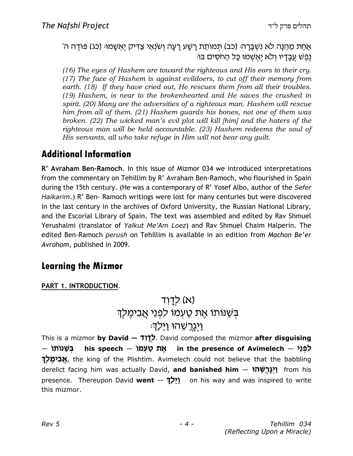ֹאַחַת מֵהֵנָּה לֹא נִשְׁבָּרָהּ (כב) תִּמוֹתֵת רָשָׁע רָעָה וְשׂנְאֵי צַדִּיק יֵאִשָּׁמוּּ (כג) פּוֹדֵה ה' ּנְפֵשׁ עֲבַדַיו וְלֹא יֵאִשְׁמוּ כַּל הַחֹסִים בּוֹ

(16) The eyes of Hashem are toward the righteous and His ears to their cry. (17) The face of Hashem is against evildoers, to cut off their memory from earth. (18) If they have cried out, He rescues them from all their troubles. (19) Hashem, is near to the brokenhearted and He saves the crushed in spirit. (20) Many are the adversities of a righteous man. Hashem will rescue him from all of them. (21) Hashem guards his bones, not one of them was broken. (22) The wicked man's evil plot will kill [him] and the haters of the righteous man will be held accountable. (23) Hashem redeems the soul of His servants, all who take refuge in Him will not bear any guilt.

#### Additional Information

R' Avraham Ben-Ramoch. In this issue of Mizmor 034 we introduced interpretations from the commentary on Tehillim by R' Avraham Ben-Ramoch, who flourished in Spain during the 15th century. (He was a contemporary of R' Yosef Albo, author of the Sefer Haikarim.) R' Ben- Ramoch writings were lost for many centuries but were discovered in the last century in the archives of Oxford University, the Russian National Library, and the Escorial Library of Spain. The text was assembled and edited by Rav Shmuel Yerushalmi (translator of Yalkut Me'Am Loez) and Rav Shmuel Chaim Halperin. The edited Ben-Ramoch *perush* on Tehillim is available in an edition from Machon Be'er Avrohom, published in 2009.

#### Learning the Mizmor

#### PART 1. INTRODUCTION.

## $T$ לךוד) (א בְּשַׁנוֹתוֹ אֶת טַעְמוֹ לפְנֵי אֲבִימֶלֶךְ ַוַיְגַרשָׁהוּ וַיִּלַדָּ

This is a mizmor **by David – לְדָוֹד**, David composed the mizmor **after disguising** – בשנותו לִפְּנֵ*י –* his speech שְׁגָּת טַעְמוֹ in the presence of Avimelech — **אֲבִימֶלְךָ,** the king of the Plishtim. Avimelech could not believe that the babbling derelict facing him was actually David, **and banished him** — <mark>יִגְרְשֵׁה</mark>ז from his presence. Thereupon David went  $-$  אֵלַךְ on his way and was inspired to write this mizmor.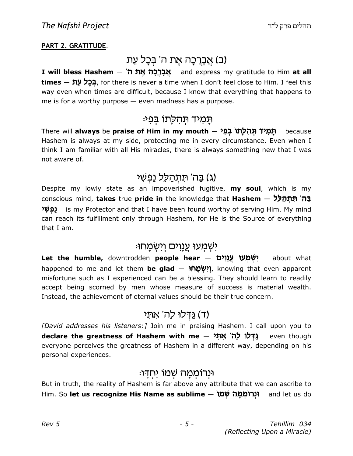#### PART 2. GRATITUDE.

### (ב) אֲבָרַכָה אֵת ה' בִּכָל עִת

I will bless Hashem – 'אֲבָרֵכָה אֱת ה' **times — בְּכֵל עֵת,** for there is never a time when I don't feel close to Him. I feel this way even when times are difficult, because I know that everything that happens to me is for a worthy purpose  $-$  even madness has a purpose.

#### ּתַמִיד תִּהלַתו בִּפִי<sub></sub>

7**מִיד תְּהִלְתוֹ בְּפִי – There will <b>always** be **praise of Him in my mouth** because Hashem is always at my side, protecting me in every circumstance. Even when I think I am familiar with all His miracles, there is always something new that I was not aware of.

### (ג) בַּה' תּתְהַלֵּל נַפְשִׁי

Despite my lowly state as an impoverished fugitive, my soul, which is my conscious mind, **takes** true **pride in** the knowledge that **Hashem** — בַּה' תִּתְהַלֵּל ֿנַפְשִׁי is my Protector and that I have been found worthy of serving Him. My mind can reach its fulfillment only through Hashem, for He is the Source of everything that I am.

#### ּישַׁמַעוּ עֲנוים וִישַׂמַחוּ

Let the humble, downtrodden people hear – יִשְׁמְעוּ עֲנָוִים about what happened to me and let them **be glad – יְיִשְׂמָחוּ,** knowing that even apparent misfortune such as I experienced can be a blessing. They should learn to readily accept being scorned by men whose measure of success is material wealth. Instead, the achievement of eternal values should be their true concern.

## דלו לה' את*י* (ד) (

[David addresses his listeners:] Join me in praising Hashem. I call upon you to declare the greatness of Hashem with me — גַּדְּלוּ לַה' אִתְּי even though everyone perceives the greatness of Hashem in a different way, depending on his personal experiences.

#### וּנרוֹמִמַּה שָׁמוֹ יַחְדַו<sub>ֹ</sub>

But in truth, the reality of Hashem is far above any attribute that we can ascribe to Him. So let us recognize His Name as sublime – וּנְרוֹמְמַה שׁמוּ and let us do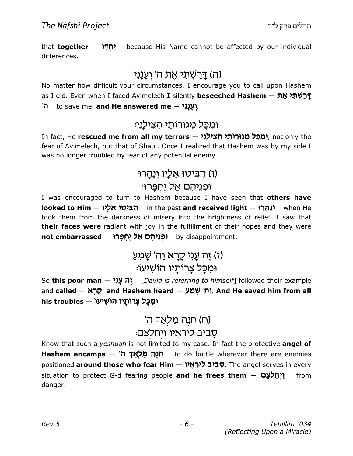that **together — ነ**ዧຼັກງ h because His Name cannot be affected by our individual differences.

## ה) דְּרַשְׁתִּי אֶת ה' וְעָנָנ*י*)

No matter how difficult your circumstances, I encourage you to call upon Hashem as I did. Even when I faced Avimelech **I** silently **beseeched Hashem — דְּרַשְׁתִּי אֶת** 'ັກ to save me and He answered me  $-$  ?וְעָנָנִי

### וּמִכַּל מְגוּרוֹתַי הצילַנִי:

In fact, He **rescued me from all my terrors — וֹמִכְּל מְגוּרוֹתֵ***י* **הִצִּי<b>לְוִי,** not only the fear of Avimelech, but that of Shaul. Once I realized that Hashem was by my side I was no longer troubled by fear of any potential enemy.

## ו) הביטוּ אליו ונהרוּ

#### וּפְנֵיהֵם אַל יֵחְפֵּרוּ:

I was encouraged to turn to Hashem because I have seen that **others have** l**ooked to Him — רְבִיטוּ אֵלְיו** in the past **and received light — יְנָהְרוּ**<br>וְא took them from the darkness of misery into the brightness of relief. I saw that **their faces were** radiant with joy in the fulfillment of their hopes and they were n**ot embarrassed – וּפְּגֵיהֶם אַל יֶחְפָּרוּ**<br>by disappointment.

## (ז) זֶה עֲנִ*י קַרַא וַה' שַׁמֵע* וּמִכַּל צַרותַיו הוֹשִׁיעוֹ:

So **this poor man** — י**ֶה עֲנִי** [*David is referring to himself*] followed their example and <mark>called — מֻרָּא , and Hashem heard — יֵה<sup>ִי</sup> שָׁמֵעַּ And He saved him from all</mark> his troubles – וּמִכָּל צָרוֹתָיו הוֹשִׁיעוֹ.

## n) חנֵה מַל<u>ְא</u>דְ ה' ּסַבִיב לִירֵאֵיו וַיְחַלַצֵּם

Know that such a *yeshuah* is not limited to my case. In fact the protective **angel of** Hashem encamps — מַלְאַדְ ה' to do battle wherever there are enemies positioned **around those who fear Him — סָבִיב לִירֵאָי T**he angel serves in every situation to protect G-d fearing people **and he frees them**  $-$  <mark>1ַיְחַלְצֵם</mark> from danger.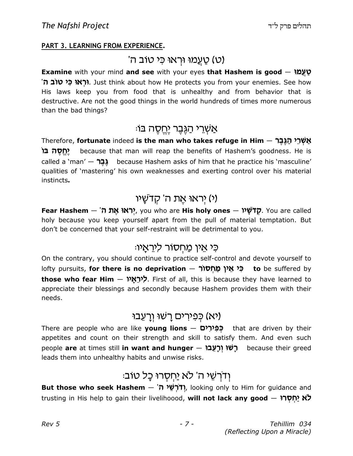#### PART 3. LEARNING FROM EXPERIENCE.

#### 'ט) טַעֲמוּ וּרְאוּ כִּי טוֹב ה)

Examine with your mind and see with your eyes that Hashem is good  $-$  טַעֲמוּ '**וּרְאוּ כִּי טוֹבֿ ה.** Iust think about how He protects you from your enemies. See how His laws keep you from food that is unhealthy and from behavior that is destructive. Are not the good things in the world hundreds of times more numerous than the bad things?

### ּאַשְׁרֵי הַגְּבֵר י<u>ַח</u>ְסֶה בּוֹ

Therefore, **fortunate** indeed **is the man who takes refuge in Him** — <mark>אַשְׁרֵי הַגֶּבֶר</mark> וֹחָסֶה בּוֹ $\mathcal{D}$  because that man will reap the benefits of Hashem's goodness. He is called a 'man'  $-$  בר $\lambda$  because Hashem asks of him that he practice his 'masculine' qualities of 'mastering' his own weaknesses and exerting control over his material instincts.

### יראוּ אַת ה' קדשַׁיו)

Fear Hashem – 'הָרֹאוּ אָת ה', you who are His holy ones – יָהֲדֹשַׁל $\bar{p}$ . You are called holy because you keep yourself apart from the pull of material temptation. But don't be concerned that your self-restraint will be detrimental to you.

#### כִּי אֵין מַחְסוֹר לִירֵאֲיוּ

On the contrary, you should continue to practice self-control and devote yourself to lofty pursuits, **for there is no deprivation — בְּי אֵין <u>מ</u>ַחְסוֹר to** be suffered by t**hose who fear Him — לִירֵאָי .** First of all, this is because they have learned to appreciate their blessings and secondly because Hashem provides them with their needs.

## יא) כִּפְיִרים רַשׁוּ וְרַעֱבוּ)

<mark>רִפְירָים – There are people who are like **young lions**</mark> that are driven by their appetites and count on their strength and skill to satisfy them. And even such people are at times still in want and hunger – לָשׁוּ וְרַעֲבוּ leads them into unhealthy habits and unwise risks.

## וְדרְשֵׁי ה' לֹא יַחִסְרוּ כָל טוֹב:

But those who seek Hashem  $-$  'תֹּלְשֵׁי ה', looking only to Him for guidance and trusting in His help to gain their livelihoood, **will not lack any good**  $-$  **לֹא יַחְסְרוּ**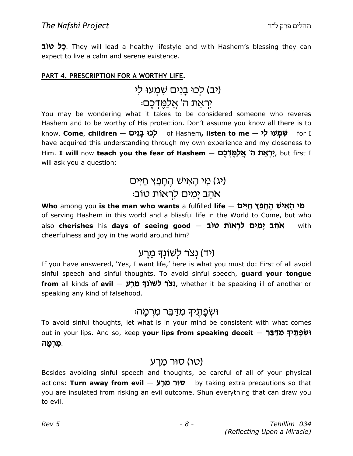**כַל טוב**. They will lead a healthy lifestyle and with Hashem's blessing they can expect to live a calm and serene existence.

#### PART 4. PRESCRIPTION FOR A WORTHY LIFE.

## (יב) לְכוּ בָנים שִׁמְעוּ לִי

### יִרְאַת ה' אֲלַמֵּדְכֵם<sub>ֿ</sub>

You may be wondering what it takes to be considered someone who reveres Hashem and to be worthy of His protection. Don't assume you know all there is to know. **Come, children – לְכוּ בָנִים o**f Hashem**, listen to me – שְׁמְעוּ לִי** for I have acquired this understanding through my own experience and my closeness to Him. **I will** now **teach you the fear of Hashem** — אָ**לְאֵת ה' אֲלַמֶּדְּכֶם** (Him. **I will** now **teach you the fear of** will ask you a question:

### (יג) מי האיש החפץ חיים :מום מאחב ימים לראות טוב

Mho among you is the man who wants a fulfilled life — מֵ*י הָ*אִישׁ הֶחָפֵץ חַיִּים of serving Hashem in this world and a blissful life in the World to Come, but who also cherishes his days of seeing good  $-$  אֹהֶב יְמִים לְרְאוֹת  $\,$  with cheerfulness and joy in the world around him?

#### (יד) נצר לשונד מרע

If you have answered, 'Yes, I want life,' here is what you must do: First of all avoid sinful speech and sinful thoughts. To avoid sinful speech, guard your tongue from all kinds of evil – נצר לשונך מֵרַע, whether it be speaking ill of another or speaking any kind of falsehood.

#### ֿו וְשִׂפַּתֵיךָ מְדַבֵּר מְרָמַה

To avoid sinful thoughts, let what is in your mind be consistent with what comes out in your lips. And so, keep **your lips from speaking deceit — יִשְׁפְתֶ***י***דְ מִדַּבֵּר** ַמְרְמָה.

#### (טו) סוּר מֵרַע

Besides avoiding sinful speech and thoughts, be careful of all of your physical actions: **Turn away from evil – סוֹר מַרַע b**y taking extra precautions so that you are insulated from risking an evil outcome. Shun everything that can draw you to evil.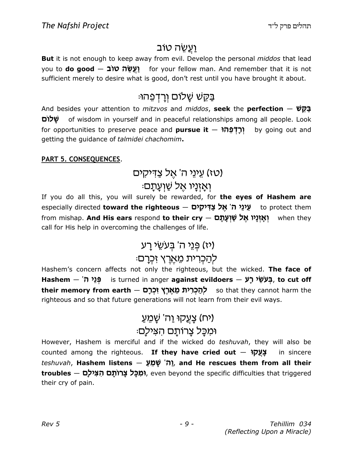## ֿ <u>ועש</u>ה טוב

But it is not enough to keep away from evil. Develop the personal middos that lead you to **do good — יַעֲשֵׂה טוֹב [ע**ֹ sufficient merely to desire what is good, don't rest until you have brought it about.

## ּבַּקֵשׁ שַׁלוֹם וְרַדְפֵהוּ

And besides your attention to *mitzvos* and *middos*, seek the perfection  $-$  فِيهَا o«uk J of wisdom in yourself and in peaceful relationships among all people. Look for opportunities to preserve peace and **pursue it**  $-$  **parely** by going out and getting the guidance of talmidei chachomim.

#### PART 5. CONSEQUENCES.

## (טז) עֵינֵי ה' אֵל צַדִּיקִים ֿוַאַזְנַיו אַל שַׁוַעַתַם

If you do all this, you will surely be rewarded, for the eyes of Hashem are especially directed **toward the righteous — עֵינֵי ה' אֱל צַדִּיקִים** to protect them from mishap. **And His ears** respond **to their cry — יְאָזְנָיו אֶל שַׁוְעָתָם** when they call for His help in overcoming the challenges of life.

### (יז) פּנֵי ה' בִעשֵׂי רַע

### להכרית מארץ זכרם:

Hashem's concern affects not only the righteous, but the wicked. The face of Hashem  $-$ 'בְּעְשֵׂי כְּע is turned in anger against evildoers  $-$  בָּעְשִׂי כָע t**heir memory from earth — לְהַכְרִית מֵאֶרֶץ זִכְרָם s**o that they cannot harm the righteous and so that future generations will not learn from their evil ways.

## יח) צָעֵקוּ <u>ו</u>ַה' שָׁמֵעַ) וּמִכַּל צַרוֹתַם הצִיל<u>ַ</u>ם:

However, Hashem is merciful and if the wicked do teshuvah, they will also be counted among the righteous. If they have cried out  $-$  עַעֲקוֹ $\blacksquare$  in sincere teshuvah, **Hashem listens — יֵה**ֹ שָׁמֵעַ), and He rescues them from all their  ${\sf troubles} - {\sf t}$ וֹמְכָּל צְרוֹתָם הִצִּילָם, even beyond the specific difficulties that triggered their cry of pain.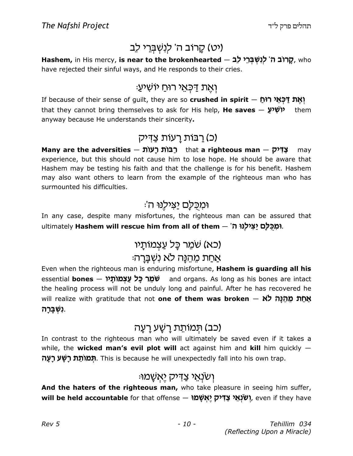## (יט) קרוב ה' לִנְשְׁבְרֵי לֶב

Hashem, in His mercy, **is near to the brokenhearted – קרוב ה' לְנִשְׁבְּרֵי לֵב** have rejected their sinful ways, and He responds to their cries.

### ּוְאֶת דַּכְּאֵי רוּחַ יוֹשִׁי<u>ע</u>ָ

If because of their sense of guilt, they are so **crushed in spirit — יְאֶת דַּכְּאֵי רוּחַ** that they cannot bring themselves to ask for His help, **He saves — יוֹשִׁיעַ t**hem anyway because He understands their sincerity.

### <u>(כ) רבות רעות צ</u>דיק)

Many are the adversities – רַבּוֹת רָעוֹת that a righteous man – צַדִּיק may experience, but this should not cause him to lose hope. He should be aware that Hashem may be testing his faith and that the challenge is for his benefit. Hashem may also want others to learn from the example of the righteous man who has surmounted his difficulties.

### ומכִלַּם יַצִּילֵנּוּ ה':

In any case, despite many misfortunes, the righteous man can be assured that ultimately **Hashem will rescue him from all of them – אַנְיֹלְנוּ ה'** 

## (כא) שׁמֵר כַּל עַצְמוֹתַיו

### אַחַת מֶהֶנַּה לֹא נְשָ<u>ׁבְּר</u>ָה:

Even when the righteous man is enduring misfortune, Hashem is guarding all his essential **bones — שׂמֵר כָּל עַצְמוֹתָני** — and organs. As long as his bones are intact the healing process will not be unduly long and painful. After he has recovered he will realize with gratitude that not **one of them was broken**  $-$  **אֵהַ מְהִנָּה לֹא ָנִשְׁבָּרָה**.

#### (כב) תמותת רשַׁע רַעַה

In contrast to the righteous man who will ultimately be saved even if it takes a while, the wicked man's evil plot will act against him and kill him quickly  $-$ **תמותת רשע רעה**, This is because he will unexpectedly fall into his own trap.

### ּיִשׂנְאֵי צַדִּיק יֶאֲשָׁמוּ

And the haters of the righteous man, who take pleasure in seeing him suffer, <mark>will be held accountable</mark> for that offense — <mark>אָשָּׁמוֹ (אֲגָי צַדְּיק,</mark> even if they have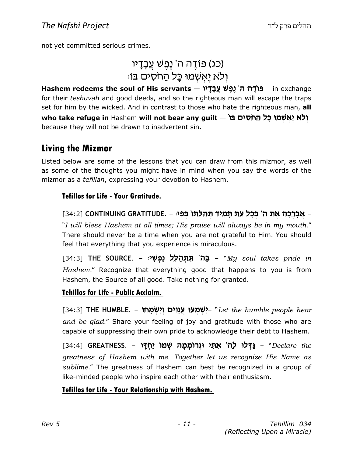not yet committed serious crimes.

## (כג) פּוֹדֵה ה' נֵפֵשׁ עֲבָדָיו ולא יאשמו כל החסים בו:

Hashem redeems the soul of His servants – עֲבָדָּיוֹ in exchange for their teshuvah and good deeds, and so the righteous man will escape the traps set for him by the wicked. And in contrast to those who hate the righteous man, all who take refuge in Hashem will not bear any guilt — יְלֹא יֶאְשְׁמוּ כָּל הַחֹסִים בֿוֹ because they will not be drawn to inadvertent sin.

#### Living the Mizmor

Listed below are some of the lessons that you can draw from this mizmor, as well as some of the thoughts you might have in mind when you say the words of the mizmor as a *tefillah*, expressing your devotion to Hashem.

#### Tefillos for Life - Your Gratitude.

ַ אֲבָרְכָה אֶת ה' בְּכָל עֵת תָּמִיד תְּהִלְתוֹ בְּפִיּ - .ONTINUING GRATITUDE [34:2] "I will bless Hashem at all times; His praise will always be in my mouth." There should never be a time when you are not grateful to Him. You should feel that everything that you experience is miraculous.

[34:3] **THE SOURCE. – בַּה' תִּתְהַלֵּל נַפְּשִׁי** – Soul takes pride in Hashem." Recognize that everything good that happens to you is from Hashem, the Source of all good. Take nothing for granted.

#### Tehillos for Life - Public Acclaim.

[34:3] THE HUMBLE. – יִשְׁמְעוּ עֲנָוִים וְיִשְׂמָחוּ. "Let the humble people hear and be glad." Share your feeling of joy and gratitude with those who are capable of suppressing their own pride to acknowledge their debt to Hashem.

[34:4] GREATNESS. - מַדְּלוּ לַה' אִתִּי וּנְרוֹמְמָה שְׁמוֹ יַחְדָו (34:4] greatness of Hashem with me. Together let us recognize His Name as sublime." The greatness of Hashem can best be recognized in a group of like-minded people who inspire each other with their enthusiasm.

#### Tefillos for Life - Your Relationship with Hashem.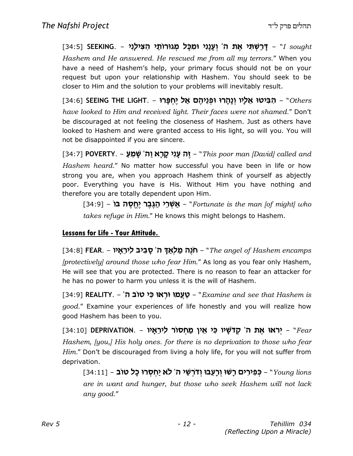[34:5] SEEKING. – מָיָמִי אֶת ה' וְעָנָנִי וּמִכָּל מְגוּרוֹתַי הִצִּילְנִי - Sought Hashem and He answered. He rescued me from all my terrors." When you have a need of Hashem's help, your primary focus should not be on your request but upon your relationship with Hashem. You should seek to be closer to Him and the solution to your problems will inevitably result.

[34:6] SEEING THE LIGHT. – הָבִּיטוּ אֵלָיו וְנָהָרוּ וּפְנֵיהֶם אַל יֶחְפָּרוּ, SA:6] SEEING THE LIGHT. have looked to Him and received light. Their faces were not shamed." Don't be discouraged at not feeling the closeness of Hashem. Just as others have looked to Hashem and were granted access to His light, so will you. You will not be disappointed if you are sincere.

[34:7] POVERTY. – יֶה עָנִי קָרָא וַה' שָׁמֵעַ, POVERTY. – "This poor man [David] called and Hashem heard." No matter how successful you have been in life or how strong you are, when you approach Hashem think of yourself as abjectly poor. Everything you have is His. Without Him you have nothing and therefore you are totally dependent upon Him.

[34:9] – <mark>אַשְּׁרֵי הַגֶּבֶר יֶחֱסֶה בּוֹ</mark> – [34:9] Yortunate is the man takes refuge in Him." He knows this might belongs to Hashem.

#### Lessons for Life - Your Attitude.

[34:8] **FEAR. – הְּנֶה מַלְאֲדָּ ה' סָבִיב לִירֵאָיו**, [34:8] [34:8] T**EAR.** [protectively] around those who fear Him." As long as you fear only Hashem, He will see that you are protected. There is no reason to fear an attacker for he has no power to harm you unless it is the will of Hashem.

[34:9] REALITY. – 'סַעֲמוּ וּרְאוּ כִּי טוֹב ה $\mathbf{E}$  - "Examine and see that Hashem is good." Examine your experiences of life honestly and you will realize how good Hashem has been to you.

ַרְאוּ אֶת ה' קְדֹשָׁיו כִּי אֵין מַחְסוֹר לִירֵאָיו - I34:10] DEPRIVATION. - "Fear Hashem, [you,] His holy ones. for there is no deprivation to those who fear Him." Don't be discouraged from living a holy life, for you will not suffer from deprivation.

[34:11] – כְּפִירִים רָשׁוּ וְרָעֵבוּ וְדֹרְשֵׁי ה' לֹא יַחְסְרוּ כָל טוֹב – [34:11] are in want and hunger, but those who seek Hashem will not lack any good."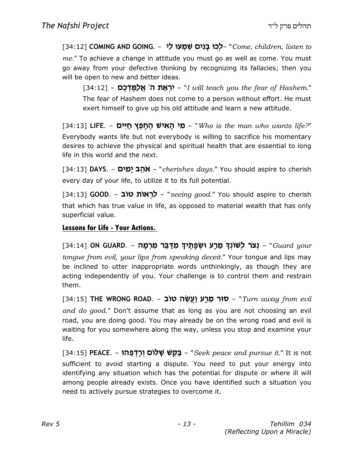[34:12] COMING AND GOING. – לְכוּ בָנִים שִׁמְעוּ לִי "Come, children, listen to me." To achieve a change in attitude you must go as well as come. You must go away from your defective thinking by recognizing its fallacies; then you will be open to new and better ideas.

[34:12] – יִ**רְאַת ה' אֲלַמֶּדְכֶם** [34:12] - 34:12] - יִר**ְאַת ה' אֲלַמֶּדְכֶם** The fear of Hashem does not come to a person without effort. He must exert himself to give up his old attitude and learn a new attitude.

[34:13] **LIFE. – מִי הָאִישׁ הֶחָפֵץ חַיִּים (3**4:13] CIFE. – **מִי הָאִישׁ** Everybody wants life but not everybody is willing to sacrifice his momentary desires to achieve the physical and spiritual health that are essential to long life in this world and the next.

[34:13] DAYS. – אׂהֵב יָמִים – "cherishes days." You should aspire to cherish every day of your life, to utilize it to its full potential.

[34:13] **GOOD. – לְרְאוֹת טוֹב - "**seeing good." You should aspire to cherish that which has true value in life, as opposed to material wealth that has only superficial value.

#### Lessons for Life - Your Actions.

[34:14] ON GUARD. – מִלָּר מִשְׁפָּתֶיךָ מִדַּבֵּר מִרְמָה – Guard your [34:14] tongue from evil, your lips from speaking deceit." Your tongue and lips may be inclined to utter inappropriate words unthinkingly, as though they are acting independently of you. Your challenge is to control them and restrain them.

[34:15] THE WRONG ROAD. – סור מֵרָע וַעֲשֵׂה טוֹב (34:15) THE WRONG ROAD. – מוּר and do good." Don't assume that as long as you are not choosing an evil road, you are doing good. You may already be on the wrong road and evil is waiting for you somewhere along the way, unless you stop and examine your life.

[34:15] PEACE. – בַּקֵשׁ שָׁלוֹם וְרָדְפֵהוּ seek peace and pursue it." It is not sufficient to avoid starting a dispute. You need to put your energy into identifying any situation which has the potential for dispute or where ill will among people already exists. Once you have identified such a situation you need to actively pursue strategies to overcome it.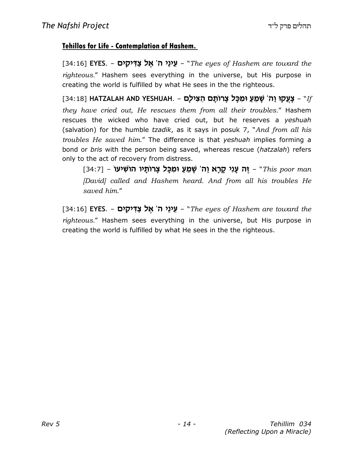#### Tehillos for Life - Contemplation of Hashem.

[34:16] **EYES. – אֵינֵי ה' אֶל צַדִּיקִים -** "The eyes of Hashem are toward the righteous." Hashem sees everything in the universe, but His purpose in creating the world is fulfilled by what He sees in the the righteous.

[34:18] **HATZALAH AND YESHUAH. – צְעֲקוּ וַה<sup>ִי</sup> שְׁמֵעַ וּמִכָּל צְרוֹתָם הִצִּילָם**, they have cried out, He rescues them from all their troubles." Hashem rescues the wicked who have cried out, but he reserves a yeshuah (salvation) for the humble tzadik, as it says in posuk 7, "And from all his troubles He saved him." The difference is that yeshuah implies forming a bond or bris with the person being saved, whereas rescue (hatzalah) refers only to the act of recovery from distress.

ַוָּה עֲנִי קָרָא וַה' שָׁמֵעַ וּמִכָּל צְרוֹתָיו הוֹשִׁיעוֹ - [34:7] - הַ נִּא עֲנִי קָרָא וַה' [David] called and Hashem heard. And from all his troubles He saved him."

[34:16] EYES. – שֵׁינֵי ה' אֱל צַדִּיקִים – "The eyes of Hashem are toward the righteous." Hashem sees everything in the universe, but His purpose in creating the world is fulfilled by what He sees in the the righteous.